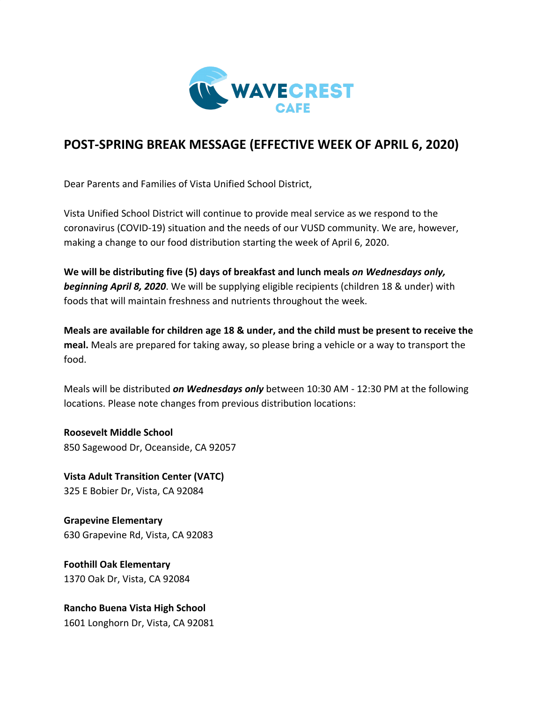

## **POST-SPRING BREAK MESSAGE (EFFECTIVE WEEK OF APRIL 6, 2020)**

Dear Parents and Families of Vista Unified School District,

Vista Unified School District will continue to provide meal service as we respond to the coronavirus (COVID-19) situation and the needs of our VUSD community. We are, however, making a change to our food distribution starting the week of April 6, 2020.

**We will be distributing five (5) days of breakfast and lunch meals** *on Wednesdays only, beginning April 8, 2020*. We will be supplying eligible recipients (children 18 & under) with foods that will maintain freshness and nutrients throughout the week.

**Meals are available for children age 18 & under, and the child must be present to receive the meal.** Meals are prepared for taking away, so please bring a vehicle or a way to transport the food.

Meals will be distributed *on Wednesdays only* between 10:30 AM - 12:30 PM at the following locations. Please note changes from previous distribution locations:

**Roosevelt Middle School** 850 Sagewood Dr, Oceanside, CA 92057

**Vista Adult Transition Center (VATC)** 325 E Bobier Dr, Vista, CA 92084

**Grapevine Elementary** 630 Grapevine Rd, Vista, CA 92083

**Foothill Oak Elementary** 1370 Oak Dr, Vista, CA 92084

**Rancho Buena Vista High School** 1601 Longhorn Dr, Vista, CA 92081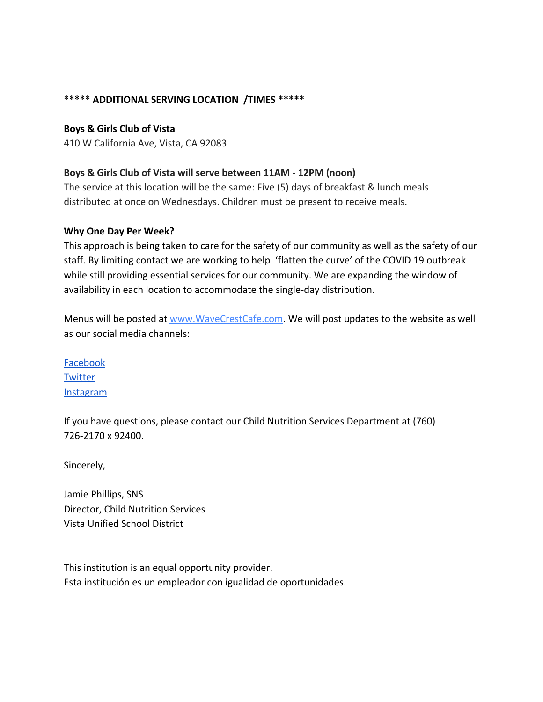### **\*\*\*\*\* ADDITIONAL SERVING LOCATION /TIMES \*\*\*\*\***

**Boys & Girls Club of Vista**

410 W California Ave, Vista, CA 92083

### **Boys & Girls Club of Vista will serve between 11AM - 12PM (noon)**

The service at this location will be the same: Five (5) days of breakfast & lunch meals distributed at once on Wednesdays. Children must be present to receive meals.

#### **Why One Day Per Week?**

This approach is being taken to care for the safety of our community as well as the safety of our staff. By limiting contact we are working to help 'flatten the curve' of the COVID 19 outbreak while still providing essential services for our community. We are expanding the window of availability in each location to accommodate the single-day distribution.

Menus will be posted at [www.WaveCrestCafe.com.](http://www.wavecrestcafe.com/) We will post updates to the website as well as our social media channels:

[Facebook](https://www.facebook.com/wavecrestcafe/) **[Twitter](https://www.twitter.com/wavecrestcafe/)** [Instagram](https://www.instagram.com/wavecrest_cafe/)

If you have questions, please contact our Child Nutrition Services Department at (760) 726-2170 x 92400.

Sincerely,

Jamie Phillips, SNS Director, Child Nutrition Services Vista Unified School District

This institution is an equal opportunity provider. Esta institución es un empleador con igualidad de oportunidades.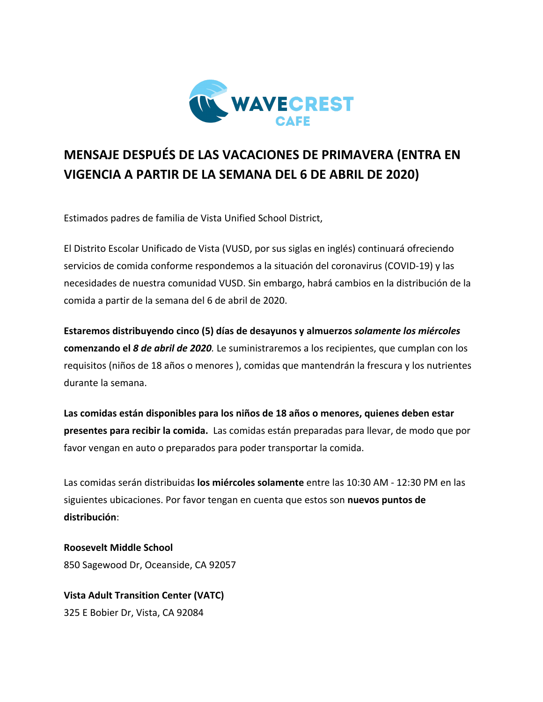

# **MENSAJE DESPUÉS DE LAS VACACIONES DE PRIMAVERA (ENTRA EN VIGENCIA A PARTIR DE LA SEMANA DEL 6 DE ABRIL DE 2020)**

Estimados padres de familia de Vista Unified School District,

El Distrito Escolar Unificado de Vista (VUSD, por sus siglas en inglés) continuará ofreciendo servicios de comida conforme respondemos a la situación del coronavirus (COVID-19) y las necesidades de nuestra comunidad VUSD. Sin embargo, habrá cambios en la distribución de la comida a partir de la semana del 6 de abril de 2020.

**Estaremos distribuyendo cinco (5) días de desayunos y almuerzos** *solamente los miércoles* **comenzando el** *8 de abril de 2020.* Le suministraremos a los recipientes, que cumplan con los requisitos (niños de 18 años o menores ), comidas que mantendrán la frescura y los nutrientes durante la semana.

**Las comidas están disponibles para los niños de 18 años o menores, quienes deben estar presentes para recibir la comida.** Las comidas están preparadas para llevar, de modo que por favor vengan en auto o preparados para poder transportar la comida.

Las comidas serán distribuidas **los miércoles solamente** entre las 10:30 AM - 12:30 PM en las siguientes ubicaciones. Por favor tengan en cuenta que estos son **nuevos puntos de distribución**:

**Roosevelt Middle School** 850 Sagewood Dr, Oceanside, CA 92057

**Vista Adult Transition Center (VATC)** 325 E Bobier Dr, Vista, CA 92084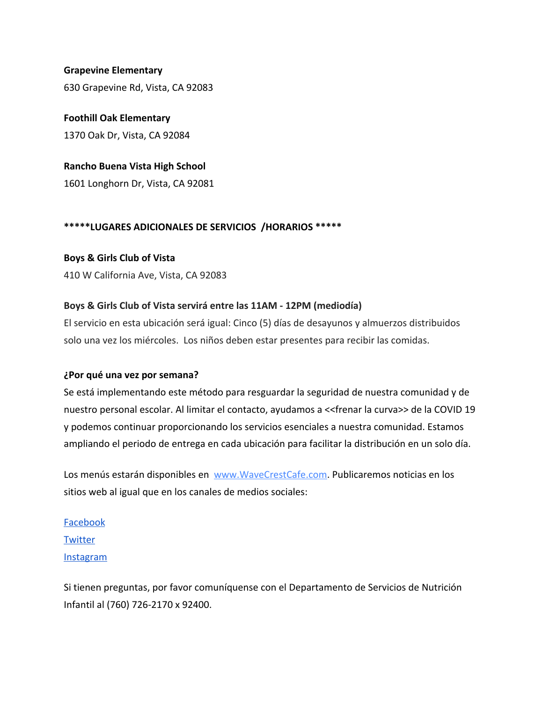### **Grapevine Elementary** 630 Grapevine Rd, Vista, CA 92083

**Foothill Oak Elementary** 1370 Oak Dr, Vista, CA 92084

**Rancho Buena Vista High School** 1601 Longhorn Dr, Vista, CA 92081

### **\*\*\*\*\*LUGARES ADICIONALES DE SERVICIOS /HORARIOS \*\*\*\*\***

### **Boys & Girls Club of Vista**

410 W California Ave, Vista, CA 92083

### **Boys & Girls Club of Vista servirá entre las 11AM - 12PM (mediodía)**

El servicio en esta ubicación será igual: Cinco (5) días de desayunos y almuerzos distribuidos solo una vez los miércoles. Los niños deben estar presentes para recibir las comidas.

### **¿Por qué una vez por semana?**

Se está implementando este método para resguardar la seguridad de nuestra comunidad y de nuestro personal escolar. Al limitar el contacto, ayudamos a <<frenar la curva>> de la COVID 19 y podemos continuar proporcionando los servicios esenciales a nuestra comunidad. Estamos ampliando el periodo de entrega en cada ubicación para facilitar la distribución en un solo día.

Los menús estarán disponibles en [www.WaveCrestCafe.com.](http://www.wavecrestcafe.com/) Publicaremos noticias en los sitios web al igual que en los canales de medios sociales:

[Facebook](https://www.facebook.com/wavecrestcafe/) **[Twitter](https://www.twitter.com/wavecrestcafe/)** [Instagram](https://www.instagram.com/wavecrest_cafe/)

Si tienen preguntas, por favor comuníquense con el Departamento de Servicios de Nutrición Infantil al (760) 726-2170 x 92400.